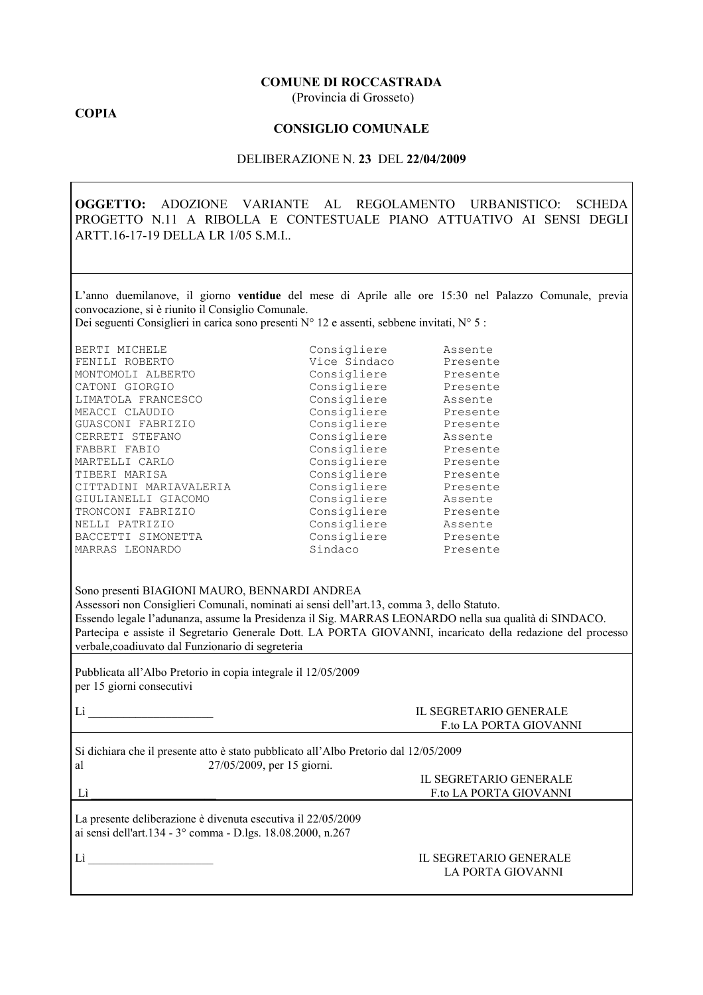#### **COMUNE DI ROCCASTRADA**

(Provincia di Grosseto)

## **COPIA**

### **CONSIGLIO COMUNALE**

#### DELIBERAZIONE N. 23 DEL 22/04/2009

OGGETTO: ADOZIONE VARIANTE AL REGOLAMENTO URBANISTICO: SCHEDA PROGETTO N.11 A RIBOLLA E CONTESTUALE PIANO ATTUATIVO AI SENSI DEGLI ARTT.16-17-19 DELLA LR 1/05 S.M.I.

L'anno duemilanove, il giorno ventidue del mese di Aprile alle ore 15:30 nel Palazzo Comunale, previa convocazione, si è riunito il Consiglio Comunale.

Dei seguenti Consiglieri in carica sono presenti N° 12 e assenti, sebbene invitati, N° 5 :

| BERTI MICHELE          | Consigliere  | Assente  |
|------------------------|--------------|----------|
| FENILI ROBERTO         | Vice Sindaco | Presente |
| MONTOMOLI ALBERTO      | Consigliere  | Presente |
| CATONI GIORGIO         | Consigliere  | Presente |
| LIMATOLA FRANCESCO     | Consigliere  | Assente  |
| MEACCI CLAUDIO         | Consigliere  | Presente |
| GUASCONI FABRIZIO      | Consigliere  | Presente |
| CERRETI STEFANO        | Consigliere  | Assente  |
| FABBRI FABIO           | Consigliere  | Presente |
| MARTELLI CARLO         | Consigliere  | Presente |
| TIBERI MARISA          | Consigliere  | Presente |
| CITTADINI MARIAVALERIA | Consigliere  | Presente |
| GIULIANELLI GIACOMO    | Consigliere  | Assente  |
| TRONCONI FABRIZIO      | Consigliere  | Presente |
| NELLI PATRIZIO         | Consigliere  | Assente  |
| BACCETTI SIMONETTA     | Consigliere  | Presente |
| MARRAS LEONARDO        | Sindaco      | Presente |
|                        |              |          |

Sono presenti BIAGIONI MAURO, BENNARDI ANDREA

Assessori non Consiglieri Comunali, nominati ai sensi dell'art.13, comma 3, dello Statuto. Essendo legale l'adunanza, assume la Presidenza il Sig. MARRAS LEONARDO nella sua qualità di SINDACO. Partecipa e assiste il Segretario Generale Dott. LA PORTA GIOVANNI, incaricato della redazione del processo verbale, coadiuvato dal Funzionario di segreteria

Pubblicata all'Albo Pretorio in copia integrale il 12/05/2009 per 15 giorni consecutivi

## **IL SEGRETARIO GENERALE** F.to LA PORTA GIOVANNI

Si dichiara che il presente atto è stato pubblicato all'Albo Pretorio dal 12/05/2009 27/05/2009, per 15 giorni. al

 $Li$ 

| IL SEGRETARIO GENERALE |
|------------------------|
| F to LA PORTA GIOVANNI |
|                        |

La presente deliberazione è divenuta esecutiva il 22/05/2009 ai sensi dell'art.134 - 3° comma - D.lgs. 18.08.2000, n.267

 $Li$ 

#### IL SEGRETARIO GENERALE LA PORTA GIOVANNI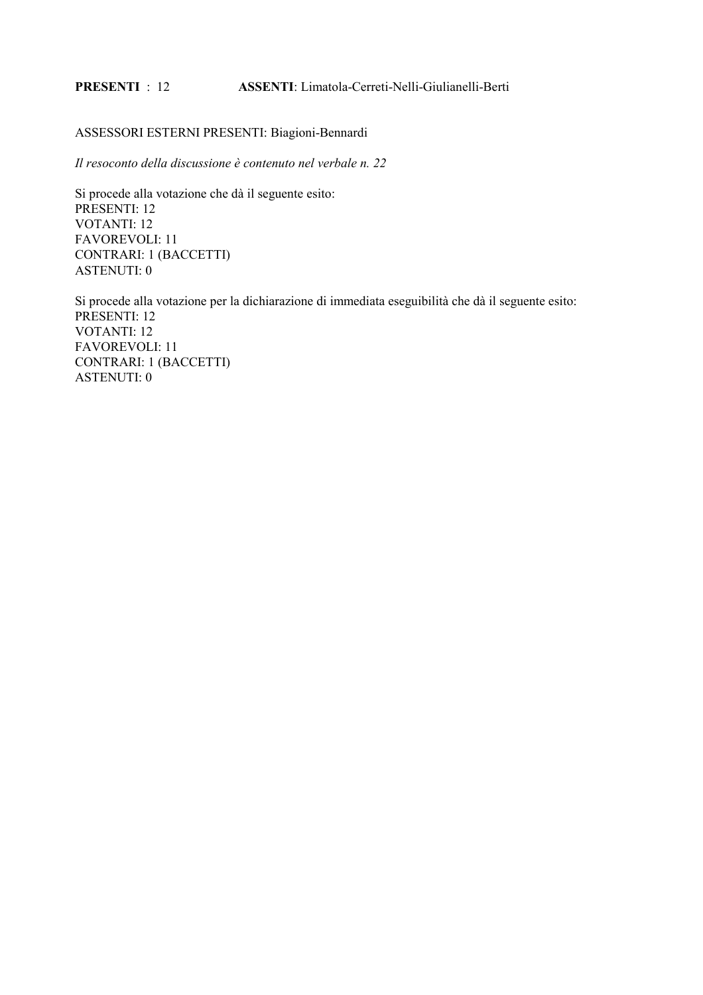#### **PRESENTI** : 12 **ASSENTI:** Limatola-Cerreti-Nelli-Giulianelli-Berti

## ASSESSORI ESTERNI PRESENTI: Biagioni-Bennardi

Il resoconto della discussione è contenuto nel verbale n. 22

Si procede alla votazione che dà il seguente esito: PRESENTI: 12 **VOTANTI: 12 FAVOREVOLI: 11 CONTRARI: 1 (BACCETTI) ASTENUTI: 0** 

Si procede alla votazione per la dichiarazione di immediata eseguibilità che dà il seguente esito: PRESENTI: 12 **VOTANTI: 12 FAVOREVOLI: 11 CONTRARI: 1 (BACCETTI) ASTENUTI: 0**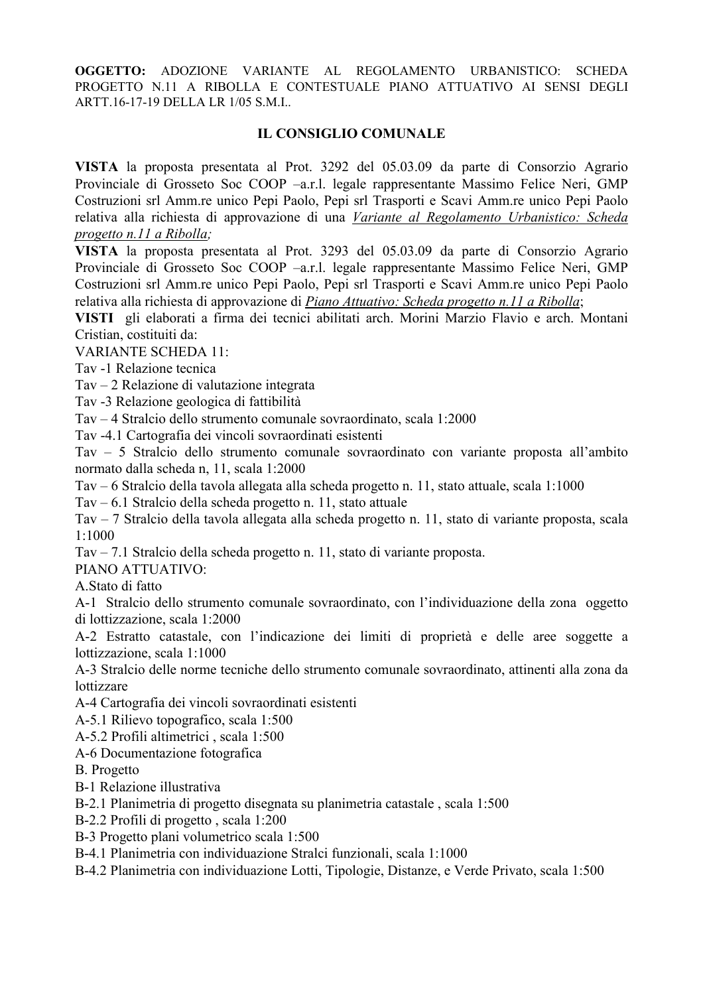# **IL CONSIGLIO COMUNALE**

VISTA la proposta presentata al Prot. 3292 del 05.03.09 da parte di Consorzio Agrario Provinciale di Grosseto Soc COOP -a.r.l. legale rappresentante Massimo Felice Neri, GMP Costruzioni srl Amm.re unico Pepi Paolo, Pepi srl Trasporti e Scavi Amm.re unico Pepi Paolo relativa alla richiesta di approvazione di una Variante al Regolamento Urbanistico: Scheda progetto n.11 a Ribolla:

VISTA la proposta presentata al Prot. 3293 del 05.03.09 da parte di Consorzio Agrario Provinciale di Grosseto Soc COOP -a.r.l. legale rappresentante Massimo Felice Neri, GMP Costruzioni srl Amm.re unico Pepi Paolo, Pepi srl Trasporti e Scavi Amm.re unico Pepi Paolo relativa alla richiesta di approvazione di Piano Attuativo: Scheda progetto n.11 a Ribolla;

VISTI gli elaborati a firma dei tecnici abilitati arch. Morini Marzio Flavio e arch. Montani Cristian costituiti da:

**VARIANTE SCHEDA 11:** 

Tav -1 Relazione tecnica

Tav – 2 Relazione di valutazione integrata

Tav -3 Relazione geologica di fattibilità

Tav – 4 Stralcio dello strumento comunale sovraordinato, scala 1:2000

Tav -4.1 Cartografia dei vincoli sovraordinati esistenti

Tav - 5 Stralcio dello strumento comunale sovraordinato con variante proposta all'ambito normato dalla scheda n, 11, scala 1:2000

Tay – 6 Stralcio della tavola allegata alla scheda progetto n. 11, stato attuale, scala 1:1000

Tav – 6.1 Stralcio della scheda progetto n. 11, stato attuale

Tav - 7 Stralcio della tavola allegata alla scheda progetto n. 11, stato di variante proposta, scala  $1:1000$ 

Tav – 7.1 Stralcio della scheda progetto n. 11, stato di variante proposta.

PIANO ATTUATIVO:

A.Stato di fatto

A-1 Stralcio dello strumento comunale sovraordinato, con l'individuazione della zona oggetto di lottizzazione, scala 1:2000

A-2 Estratto catastale, con l'indicazione dei limiti di proprietà e delle aree soggette a lottizzazione, scala 1:1000

A-3 Stralcio delle norme tecniche dello strumento comunale sovraordinato, attinenti alla zona da lottizzare

A-4 Cartografia dei vincoli sovraordinati esistenti

A-5.1 Rilievo topografico, scala 1:500

A-5.2 Profili altimetrici, scala 1:500

A-6 Documentazione fotografica

**B.** Progetto

B-1 Relazione illustrativa

B-2.1 Planimetria di progetto disegnata su planimetria catastale, scala 1:500

B-2.2 Profili di progetto, scala 1:200

B-3 Progetto plani volumetrico scala 1:500

B-4.1 Planimetria con individuazione Stralci funzionali, scala 1:1000

B-4.2 Planimetria con individuazione Lotti, Tipologie, Distanze, e Verde Privato, scala 1:500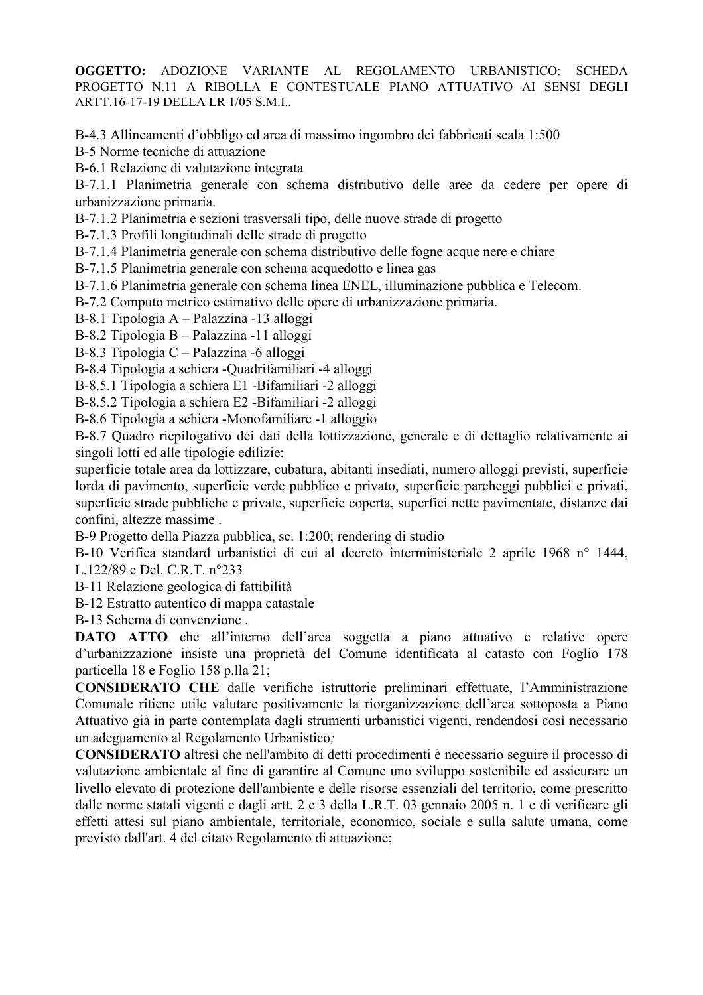B-4.3 Allineamenti d'obbligo ed area di massimo ingombro dei fabbricati scala 1:500

B-5 Norme tecniche di attuazione

B-6.1 Relazione di valutazione integrata

B-7.1.1 Planimetria generale con schema distributivo delle aree da cedere per opere di urbanizzazione primaria.

B-7.1.2 Planimetria e sezioni trasversali tipo, delle nuove strade di progetto

B-7.1.3 Profili longitudinali delle strade di progetto

B-7.1.4 Planimetria generale con schema distributivo delle fogne acque nere e chiare

B-7.1.5 Planimetria generale con schema acquedotto e linea gas

B-7.1.6 Planimetria generale con schema linea ENEL, illuminazione pubblica e Telecom.

B-7.2 Computo metrico estimativo delle opere di urbanizzazione primaria.

B-8.1 Tipologia A - Palazzina -13 alloggi

B-8.2 Tipologia B - Palazzina -11 alloggi

 $B-8.3$  Tipologia C – Palazzina -6 alloggi

B-8.4 Tipologia a schiera -Quadrifamiliari -4 alloggi

B-8.5.1 Tipologia a schiera E1 -Bifamiliari -2 alloggi

B-8.5.2 Tipologia a schiera E2 -Bifamiliari -2 alloggi

B-8.6 Tipologia a schiera -Monofamiliare -1 alloggio

B-8.7 Quadro riepilogativo dei dati della lottizzazione, generale e di dettaglio relativamente ai singoli lotti ed alle tipologie edilizie:

superficie totale area da lottizzare, cubatura, abitanti insediati, numero alloggi previsti, superficie lorda di pavimento, superficie verde pubblico e privato, superficie parcheggi pubblici e privati, superficie strade pubbliche e private, superficie coperta, superfici nette pavimentate, distanze dai confini, altezze massime.

B-9 Progetto della Piazza pubblica, sc. 1:200; rendering di studio

B-10 Verifica standard urbanistici di cui al decreto interministeriale 2 aprile 1968 n° 1444, L.122/89 e Del. C.R.T. n°233

B-11 Relazione geologica di fattibilità

B-12 Estratto autentico di mappa catastale

B-13 Schema di convenzione.

DATO ATTO che all'interno dell'area soggetta a piano attuativo e relative opere d'urbanizzazione insiste una proprietà del Comune identificata al catasto con Foglio 178 particella 18 e Foglio 158 p.lla 21;

CONSIDERATO CHE dalle verifiche istruttorie preliminari effettuate, l'Amministrazione Comunale ritiene utile valutare positivamente la riorganizzazione dell'area sottoposta a Piano Attuativo già in parte contemplata dagli strumenti urbanistici vigenti, rendendosi così necessario un adeguamento al Regolamento Urbanistico;

CONSIDERATO altresì che nell'ambito di detti procedimenti è necessario seguire il processo di valutazione ambientale al fine di garantire al Comune uno sviluppo sostenibile ed assicurare un livello elevato di protezione dell'ambiente e delle risorse essenziali del territorio, come prescritto dalle norme statali vigenti e dagli artt. 2 e 3 della L.R.T. 03 gennaio 2005 n. 1 e di verificare gli effetti attesi sul piano ambientale, territoriale, economico, sociale e sulla salute umana, come previsto dall'art. 4 del citato Regolamento di attuazione;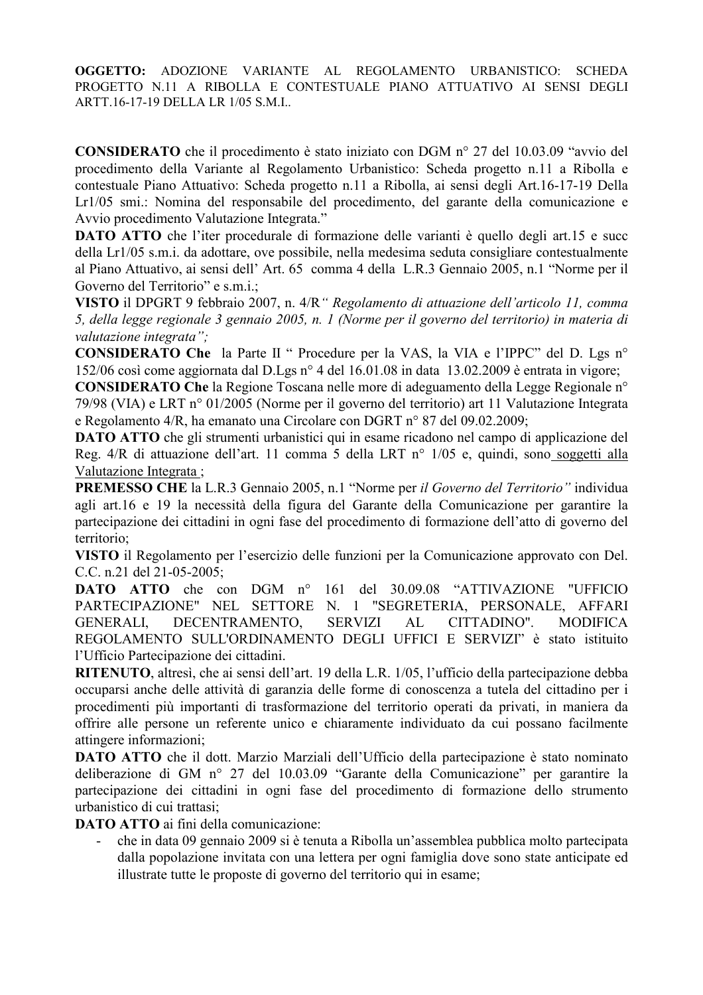CONSIDERATO che il procedimento è stato iniziato con DGM nº 27 del 10.03.09 "avvio del procedimento della Variante al Regolamento Urbanistico: Scheda progetto n.11 a Ribolla e contestuale Piano Attuativo: Scheda progetto n.11 a Ribolla, ai sensi degli Art.16-17-19 Della Lr1/05 smi.: Nomina del responsabile del procedimento, del garante della comunicazione e Avvio procedimento Valutazione Integrata."

**DATO ATTO** che l'iter procedurale di formazione delle varianti è quello degli art.15 e succ della Lr1/05 s.m.i. da adottare, ove possibile, nella medesima seduta consigliare contestualmente al Piano Attuativo, ai sensi dell' Art. 65 comma 4 della L.R.3 Gennaio 2005, n.1 "Norme per il Governo del Territorio" e s.m.i.;

VISTO il DPGRT 9 febbraio 2007, n. 4/R " Regolamento di attuazione dell'articolo 11, comma 5, della legge regionale 3 gennaio 2005, n. 1 (Norme per il governo del territorio) in materia di valutazione integrata";

**CONSIDERATO Che** la Parte II " Procedure per la VAS, la VIA e l'IPPC" del D. Lgs n° 152/06 così come aggiornata dal D.Lgs n° 4 del 16.01.08 in data 13.02.2009 è entrata in vigore;

**CONSIDERATO Che la Regione Toscana nelle more di adeguamento della Legge Regionale n°** 79/98 (VIA) e LRT n° 01/2005 (Norme per il governo del territorio) art 11 Valutazione Integrata e Regolamento 4/R, ha emanato una Circolare con DGRT n° 87 del 09.02.2009;

**DATO ATTO** che gli strumenti urbanistici qui in esame ricadono nel campo di applicazione del Reg. 4/R di attuazione dell'art. 11 comma 5 della LRT nº 1/05 e, quindi, sono soggetti alla Valutazione Integrata ;

PREMESSO CHE la L.R.3 Gennaio 2005, n.1 "Norme per il Governo del Territorio" individua agli art.16 e 19 la necessità della figura del Garante della Comunicazione per garantire la partecipazione dei cittadini in ogni fase del procedimento di formazione dell'atto di governo del territorio:

VISTO il Regolamento per l'esercizio delle funzioni per la Comunicazione approvato con Del. C.C. n.21 del 21-05-2005;

DATO ATTO che con DGM n° 30.09.08 "ATTIVAZIONE  $161$  del "UFFICIO PARTECIPAZIONE" NEL SETTORE N. 1 "SEGRETERIA, PERSONALE, AFFARI CITTADINO". **GENERALI,** DECENTRAMENTO, **SERVIZI**  $AL$ **MODIFICA** REGOLAMENTO SULL'ORDINAMENTO DEGLI UFFICI E SERVIZI" è stato istituito l'Ufficio Partecipazione dei cittadini.

RITENUTO, altresì, che ai sensi dell'art. 19 della L.R. 1/05, l'ufficio della partecipazione debba occuparsi anche delle attività di garanzia delle forme di conoscenza a tutela del cittadino per i procedimenti più importanti di trasformazione del territorio operati da privati, in maniera da offrire alle persone un referente unico e chiaramente individuato da cui possano facilmente attingere informazioni;

DATO ATTO che il dott. Marzio Marziali dell'Ufficio della partecipazione è stato nominato deliberazione di GM nº 27 del 10.03.09 "Garante della Comunicazione" per garantire la partecipazione dei cittadini in ogni fase del procedimento di formazione dello strumento urbanistico di cui trattasi:

**DATO ATTO** ai fini della comunicazione

che in data 09 gennaio 2009 si è tenuta a Ribolla un'assemblea pubblica molto partecipata dalla popolazione invitata con una lettera per ogni famiglia dove sono state anticipate ed illustrate tutte le proposte di governo del territorio qui in esame;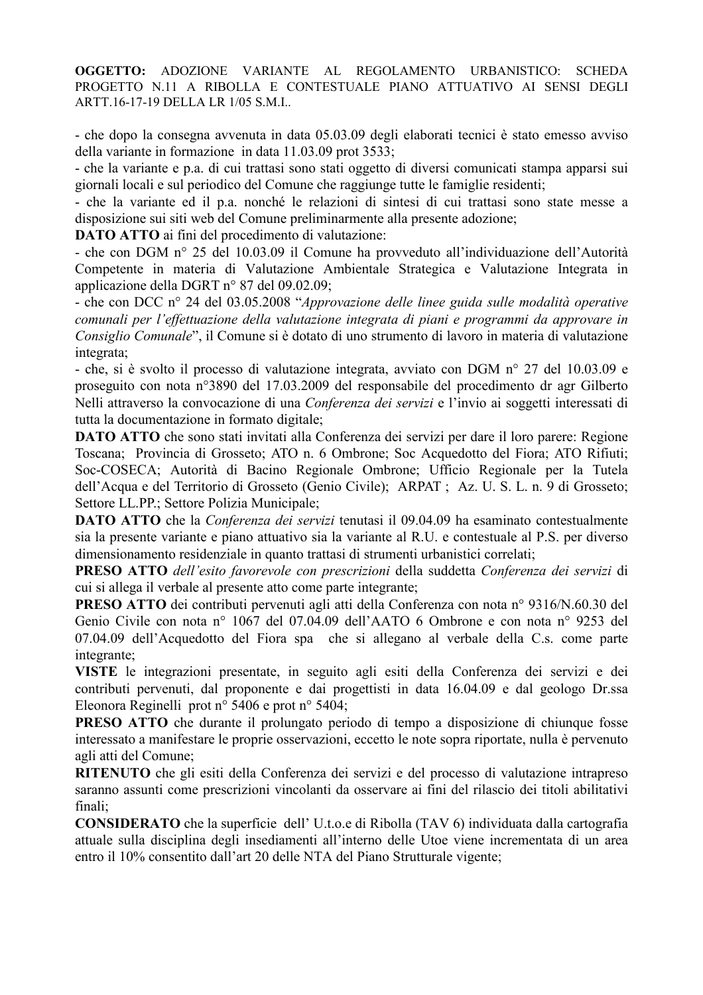- che dopo la consegna avvenuta in data 05.03.09 degli elaborati tecnici è stato emesso avviso della variante in formazione in data 11.03.09 prot 3533;

- che la variante e p.a. di cui trattasi sono stati oggetto di diversi comunicati stampa apparsi sui giornali locali e sul periodico del Comune che raggiunge tutte le famiglie residenti;

- che la variante ed il p.a. nonché le relazioni di sintesi di cui trattasi sono state messe a disposizione sui siti web del Comune preliminarmente alla presente adozione;

**DATO ATTO** ai fini del procedimento di valutazione:

- che con DGM nº 25 del 10.03.09 il Comune ha provveduto all'individuazione dell'Autorità Competente in materia di Valutazione Ambientale Strategica e Valutazione Integrata in applicazione della DGRT n° 87 del 09.02.09;

- che con DCC n° 24 del 03.05.2008 "Approvazione delle linee guida sulle modalità operative comunali per l'effettuazione della valutazione integrata di piani e programmi da approvare in Consiglio Comunale", il Comune si è dotato di uno strumento di lavoro in materia di valutazione integrata;

- che, si è svolto il processo di valutazione integrata, avviato con DGM nº 27 del 10.03.09 e proseguito con nota nº3890 del 17.03.2009 del responsabile del procedimento dr agr Gilberto Nelli attraverso la convocazione di una Conferenza dei servizi e l'invio ai soggetti interessati di tutta la documentazione in formato digitale;

**DATO ATTO** che sono stati invitati alla Conferenza dei servizi per dare il loro parere: Regione Toscana; Provincia di Grosseto; ATO n. 6 Ombrone; Soc Acquedotto del Fiora; ATO Rifiuti; Soc-COSECA; Autorità di Bacino Regionale Ombrone; Ufficio Regionale per la Tutela dell'Acqua e del Territorio di Grosseto (Genio Civile); ARPAT ; Az. U. S. L. n. 9 di Grosseto; Settore LL.PP.; Settore Polizia Municipale;

**DATO ATTO** che la Conferenza dei servizi tenutasi il 09.04.09 ha esaminato contestualmente sia la presente variante e piano attuativo sia la variante al R.U. e contestuale al P.S. per diverso dimensionamento residenziale in quanto trattasi di strumenti urbanistici correlati;

PRESO ATTO dell'esito favorevole con prescrizioni della suddetta Conferenza dei servizi di cui si allega il verbale al presente atto come parte integrante;

**PRESO ATTO** dei contributi pervenuti agli atti della Conferenza con nota nº 9316/N.60.30 del Genio Civile con nota nº 1067 del 07.04.09 dell'AATO 6 Ombrone e con nota nº 9253 del 07.04.09 dell'Acquedotto del Fiora spa che si allegano al verbale della C.s. come parte integrante:

VISTE le integrazioni presentate, in seguito agli esiti della Conferenza dei servizi e dei contributi pervenuti, dal proponente e dai progettisti in data 16.04.09 e dal geologo Dr.ssa Eleonora Reginelli prot n° 5406 e prot n° 5404:

**PRESO ATTO** che durante il prolungato periodo di tempo a disposizione di chiunque fosse interessato a manifestare le proprie osservazioni, eccetto le note sopra riportate, nulla è pervenuto agli atti del Comune;

RITENUTO che gli esiti della Conferenza dei servizi e del processo di valutazione intrapreso saranno assunti come prescrizioni vincolanti da osservare ai fini del rilascio dei titoli abilitativi finali:

**CONSIDERATO** che la superficie dell'U.t.o.e di Ribolla (TAV 6) individuata dalla cartografia attuale sulla disciplina degli insediamenti all'interno delle Utoe viene incrementata di un area entro il 10% consentito dall'art 20 delle NTA del Piano Strutturale vigente;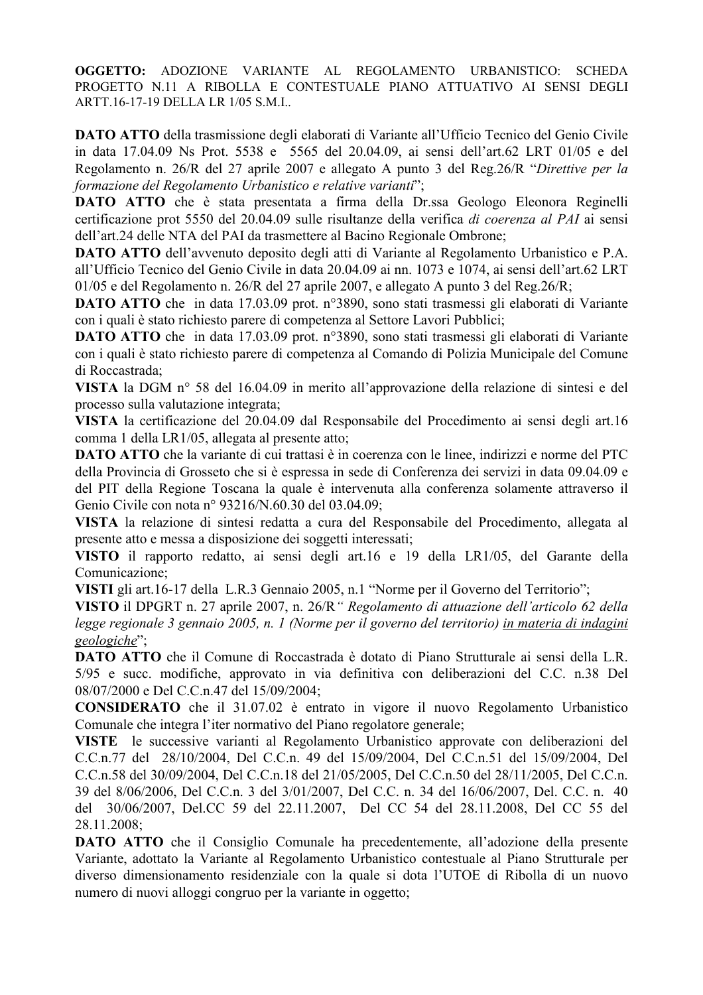DATO ATTO della trasmissione degli elaborati di Variante all'Ufficio Tecnico del Genio Civile in data 17.04.09 Ns Prot. 5538 e 5565 del 20.04.09, ai sensi dell'art.62 LRT 01/05 e del Regolamento n. 26/R del 27 aprile 2007 e allegato A punto 3 del Reg.26/R "Direttive per la formazione del Regolamento Urbanistico e relative varianti":

**DATO ATTO** che è stata presentata a firma della Dr.ssa Geologo Eleonora Reginelli certificazione prot 5550 del 20.04.09 sulle risultanze della verifica di coerenza al PAI ai sensi dell'art.24 delle NTA del PAI da trasmettere al Bacino Regionale Ombrone;

**DATO ATTO** dell'avvenuto deposito degli atti di Variante al Regolamento Urbanistico e P.A. all'Ufficio Tecnico del Genio Civile in data 20.04.09 ai nn. 1073 e 1074, ai sensi dell'art.62 LRT 01/05 e del Regolamento n. 26/R del 27 aprile 2007, e allegato A punto 3 del Reg.26/R;

**DATO ATTO** che in data 17.03.09 prot. n°3890, sono stati trasmessi gli elaborati di Variante con i quali è stato richiesto parere di competenza al Settore Lavori Pubblici;

**DATO ATTO** che in data 17.03.09 prot. n°3890, sono stati trasmessi gli elaborati di Variante con i quali è stato richiesto parere di competenza al Comando di Polizia Municipale del Comune di Roccastrada:

VISTA la DGM nº 58 del 16.04.09 in merito all'approvazione della relazione di sintesi e del processo sulla valutazione integrata;

VISTA la certificazione del 20.04.09 dal Responsabile del Procedimento ai sensi degli art.16 comma 1 della LR1/05, allegata al presente atto;

**DATO ATTO** che la variante di cui trattasi è in coerenza con le linee, indirizzi e norme del PTC della Provincia di Grosseto che si è espressa in sede di Conferenza dei servizi in data 09.04.09 e del PIT della Regione Toscana la quale è intervenuta alla conferenza solamente attraverso il Genio Civile con nota nº 93216/N.60.30 del 03.04.09;

VISTA la relazione di sintesi redatta a cura del Responsabile del Procedimento, allegata al presente atto e messa a disposizione dei soggetti interessati;

VISTO il rapporto redatto, ai sensi degli art.16 e 19 della LR1/05, del Garante della Comunicazione;

VISTI gli art.16-17 della L.R.3 Gennaio 2005, n.1 "Norme per il Governo del Territorio";

VISTO il DPGRT n. 27 aprile 2007, n. 26/R " Regolamento di attuazione dell'articolo 62 della legge regionale 3 gennaio 2005, n. 1 (Norme per il governo del territorio) in materia di indagini geologiche":

**DATO ATTO** che il Comune di Roccastrada è dotato di Piano Strutturale ai sensi della L.R. 5/95 e succ. modifiche, approvato in via definitiva con deliberazioni del C.C. n.38 Del 08/07/2000 e Del C.C.n.47 del 15/09/2004;

**CONSIDERATO** che il 31.07.02 è entrato in vigore il nuovo Regolamento Urbanistico Comunale che integra l'iter normativo del Piano regolatore generale;

VISTE le successive varianti al Regolamento Urbanistico approvate con deliberazioni del C.C.n.77 del 28/10/2004, Del C.C.n. 49 del 15/09/2004, Del C.C.n.51 del 15/09/2004, Del C.C.n.58 del 30/09/2004, Del C.C.n.18 del 21/05/2005, Del C.C.n.50 del 28/11/2005, Del C.C.n. 39 del 8/06/2006, Del C.C.n. 3 del 3/01/2007, Del C.C. n. 34 del 16/06/2007, Del. C.C. n. 40 del 30/06/2007, Del.CC 59 del 22.11.2007, Del CC 54 del 28.11.2008, Del CC 55 del 28.11.2008:

**DATO ATTO** che il Consiglio Comunale ha precedentemente, all'adozione della presente Variante, adottato la Variante al Regolamento Urbanistico contestuale al Piano Strutturale per diverso dimensionamento residenziale con la quale si dota l'UTOE di Ribolla di un nuovo numero di nuovi alloggi congruo per la variante in oggetto;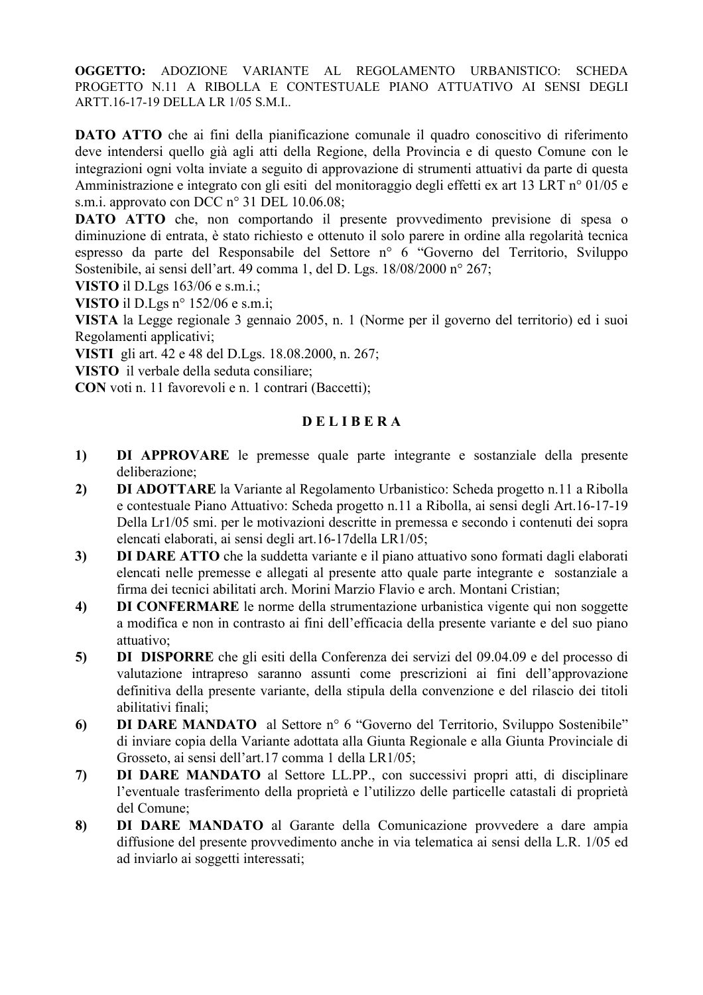DATO ATTO che ai fini della pianificazione comunale il quadro conoscitivo di riferimento deve intendersi quello già agli atti della Regione, della Provincia e di questo Comune con le integrazioni ogni volta inviate a seguito di approvazione di strumenti attuativi da parte di questa Amministrazione e integrato con gli esiti del monitoraggio degli effetti ex art 13 LRT nº 01/05 e s.m.i. approvato con DCC  $n^{\circ}$  31 DEL 10.06.08;

**DATO ATTO** che, non comportando il presente provvedimento previsione di spesa o diminuzione di entrata, è stato richiesto e ottenuto il solo parere in ordine alla regolarità tecnica espresso da parte del Responsabile del Settore nº 6 "Governo del Territorio, Sviluppo Sostenibile, ai sensi dell'art. 49 comma 1, del D. Lgs. 18/08/2000 n° 267;

VISTO il D.Lgs 163/06 e s.m.i.;

VISTO il D.Lgs n° 152/06 e s.m.i;

VISTA la Legge regionale 3 gennaio 2005, n. 1 (Norme per il governo del territorio) ed i suoi Regolamenti applicativi;

VISTI gli art. 42 e 48 del D.Lgs. 18.08.2000, n. 267;

VISTO il verbale della seduta consiliare;

CON voti n. 11 favorevoli e n. 1 contrari (Baccetti);

# **DELIBERA**

- $1)$ DI APPROVARE le premesse quale parte integrante e sostanziale della presente deliberazione;
- $2)$ **DI ADOTTARE** la Variante al Regolamento Urbanistico: Scheda progetto n.11 a Ribolla e contestuale Piano Attuativo: Scheda progetto n.11 a Ribolla, ai sensi degli Art.16-17-19 Della Lr1/05 smi. per le motivazioni descritte in premessa e secondo i contenuti dei sopra elencati elaborati, ai sensi degli art.16-17 della LR1/05;
- DI DARE ATTO che la suddetta variante e il piano attuativo sono formati dagli elaborati  $3)$ elencati nelle premesse e allegati al presente atto quale parte integrante e sostanziale a firma dei tecnici abilitati arch. Morini Marzio Flavio e arch. Montani Cristian;
- $4)$ **DI CONFERMARE** le norme della strumentazione urbanistica vigente qui non soggette a modifica e non in contrasto ai fini dell'efficacia della presente variante e del suo piano attuativo;
- DI DISPORRE che gli esiti della Conferenza dei servizi del 09.04.09 e del processo di  $5)$ valutazione intrapreso saranno assunti come prescrizioni ai fini dell'approvazione definitiva della presente variante, della stipula della convenzione e del rilascio dei titoli abilitativi finali:
- **DI DARE MANDATO** al Settore n° 6 "Governo del Territorio, Sviluppo Sostenibile" 6) di inviare copia della Variante adottata alla Giunta Regionale e alla Giunta Provinciale di Grosseto, ai sensi dell'art.17 comma 1 della LR1/05;
- DI DARE MANDATO al Settore LL.PP., con successivi propri atti, di disciplinare 7) l'eventuale trasferimento della proprietà e l'utilizzo delle particelle catastali di proprietà del Comune:
- DI DARE MANDATO al Garante della Comunicazione provvedere a dare ampia 8) diffusione del presente provvedimento anche in via telematica ai sensi della L.R. 1/05 ed ad inviarlo ai soggetti interessati;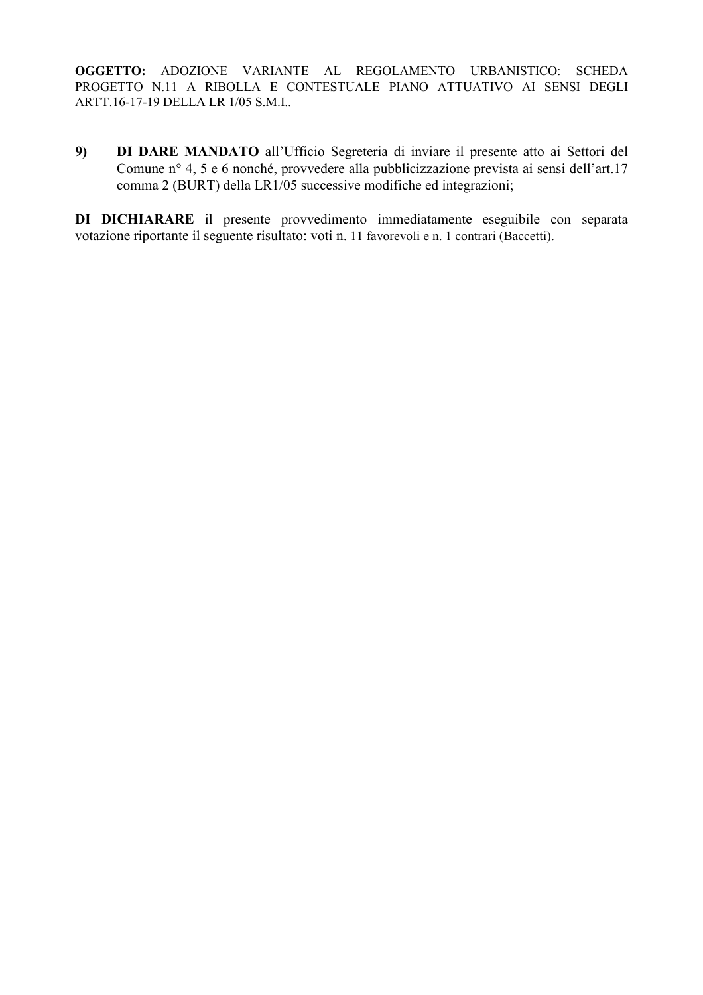9) DI DARE MANDATO all'Ufficio Segreteria di inviare il presente atto ai Settori del Comune n° 4, 5 e 6 nonché, provvedere alla pubblicizzazione prevista ai sensi dell'art.17 comma 2 (BURT) della LR1/05 successive modifiche ed integrazioni;

DI DICHIARARE il presente provvedimento immediatamente eseguibile con separata votazione riportante il seguente risultato: voti n. 11 favorevoli e n. 1 contrari (Baccetti).